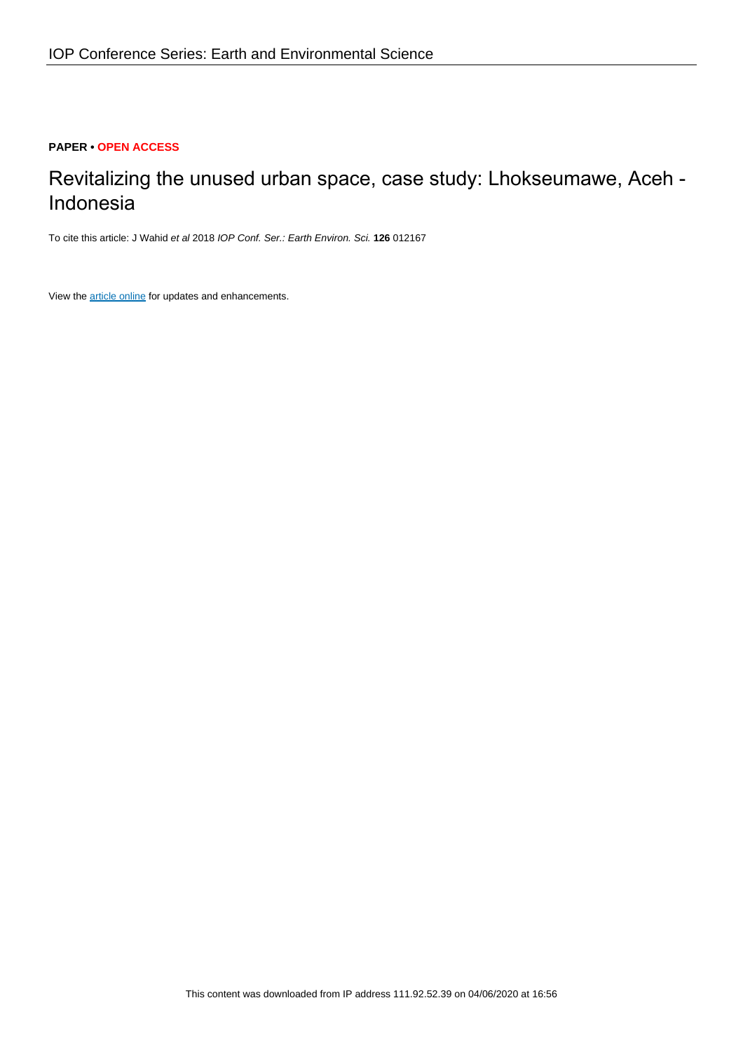# **PAPER • OPEN ACCESS**

# Revitalizing the unused urban space, case study: Lhokseumawe, Aceh - Indonesia

To cite this article: J Wahid et al 2018 IOP Conf. Ser.: Earth Environ. Sci. **126** 012167

View the [article online](https://doi.org/10.1088/1755-1315/126/1/012167) for updates and enhancements.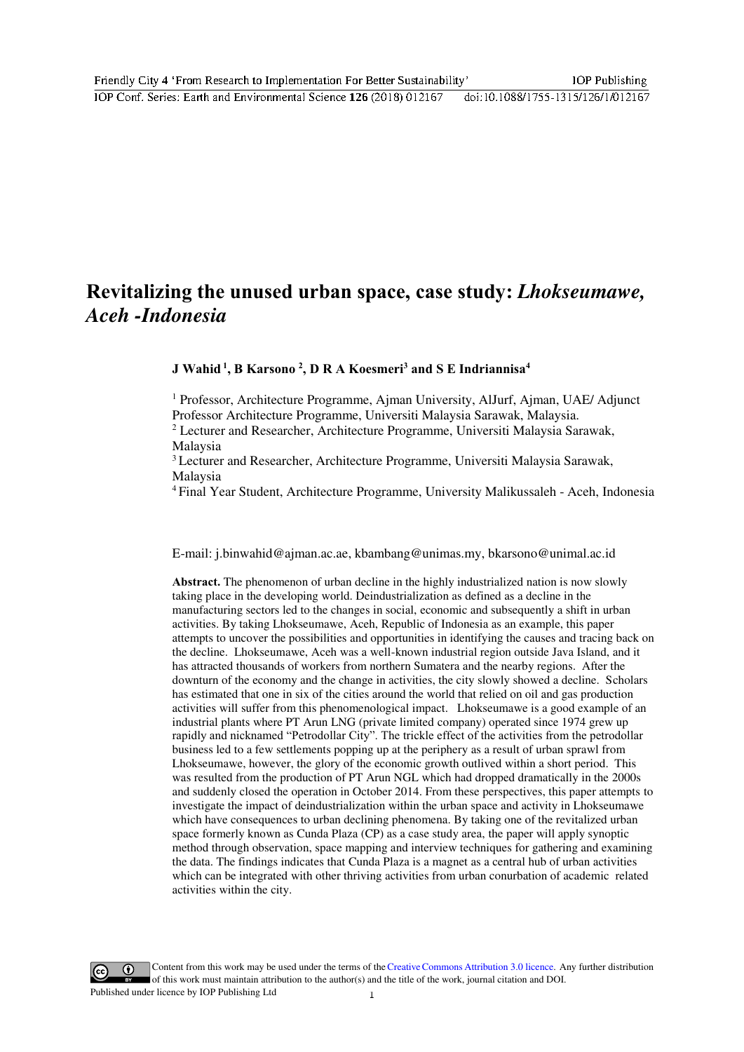# **Revitalizing the unused urban space, case study:** *Lhokseumawe, Aceh -Indonesia*

**J Wahid 1, B Karsono 2 , D R A Koesmeri3 and S E Indriannisa4** 

<sup>1</sup> Professor, Architecture Programme, Ajman University, AlJurf, Ajman, UAE/ Adjunct Professor Architecture Programme, Universiti Malaysia Sarawak, Malaysia.

<sup>2</sup> Lecturer and Researcher, Architecture Programme, Universiti Malaysia Sarawak, Malaysia

3 Lecturer and Researcher, Architecture Programme, Universiti Malaysia Sarawak, Malaysia

4 Final Year Student, Architecture Programme, University Malikussaleh - Aceh, Indonesia

E-mail: j.binwahid@ajman.ac.ae, kbambang@unimas.my, bkarsono@unimal.ac.id

**Abstract.** The phenomenon of urban decline in the highly industrialized nation is now slowly taking place in the developing world. Deindustrialization as defined as a decline in the manufacturing sectors led to the changes in social, economic and subsequently a shift in urban activities. By taking Lhokseumawe, Aceh, Republic of Indonesia as an example, this paper attempts to uncover the possibilities and opportunities in identifying the causes and tracing back on the decline. Lhokseumawe, Aceh was a well-known industrial region outside Java Island, and it has attracted thousands of workers from northern Sumatera and the nearby regions. After the downturn of the economy and the change in activities, the city slowly showed a decline. Scholars has estimated that one in six of the cities around the world that relied on oil and gas production activities will suffer from this phenomenological impact. Lhokseumawe is a good example of an industrial plants where PT Arun LNG (private limited company) operated since 1974 grew up rapidly and nicknamed "Petrodollar City". The trickle effect of the activities from the petrodollar business led to a few settlements popping up at the periphery as a result of urban sprawl from Lhokseumawe, however, the glory of the economic growth outlived within a short period. This was resulted from the production of PT Arun NGL which had dropped dramatically in the 2000s and suddenly closed the operation in October 2014. From these perspectives, this paper attempts to investigate the impact of deindustrialization within the urban space and activity in Lhokseumawe which have consequences to urban declining phenomena. By taking one of the revitalized urban space formerly known as Cunda Plaza (CP) as a case study area, the paper will apply synoptic method through observation, space mapping and interview techniques for gathering and examining the data. The findings indicates that Cunda Plaza is a magnet as a central hub of urban activities which can be integrated with other thriving activities from urban conurbation of academic related activities within the city.

Content from this work may be used under the terms of the[Creative Commons Attribution 3.0 licence](http://creativecommons.org/licenses/by/3.0). Any further distribution  $\omega$ of this work must maintain attribution to the author(s) and the title of the work, journal citation and DOI. Published under licence by IOP Publishing Ltd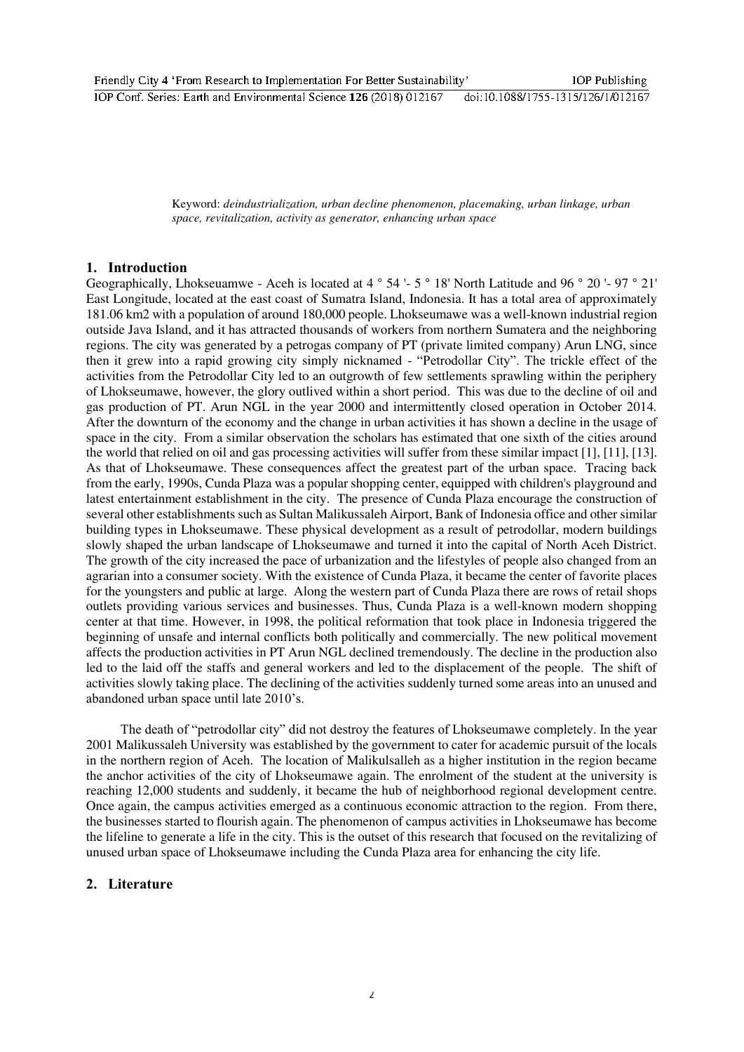Keyword: *deindustrialization, urban decline phenomenon, placemaking, urban linkage, urban space, revitalization, activity as generator, enhancing urban space* 

#### **1. Introduction**

Geographically, Lhokseuamwe - Aceh is located at 4 ° 54 '- 5 ° 18' North Latitude and 96 ° 20 '- 97 ° 21' East Longitude, located at the east coast of Sumatra Island, Indonesia. It has a total area of approximately 181.06 km2 with a population of around 180,000 people. Lhokseumawe was a well-known industrial region outside Java Island, and it has attracted thousands of workers from northern Sumatera and the neighboring regions. The city was generated by a petrogas company of PT (private limited company) Arun LNG, since then it grew into a rapid growing city simply nicknamed - "Petrodollar City". The trickle effect of the activities from the Petrodollar City led to an outgrowth of few settlements sprawling within the periphery of Lhokseumawe, however, the glory outlived within a short period. This was due to the decline of oil and gas production of PT. Arun NGL in the year 2000 and intermittently closed operation in October 2014. After the downturn of the economy and the change in urban activities it has shown a decline in the usage of space in the city. From a similar observation the scholars has estimated that one sixth of the cities around the world that relied on oil and gas processing activities will suffer from these similar impact [1], [11], [13]. As that of Lhokseumawe. These consequences affect the greatest part of the urban space. Tracing back from the early, 1990s, Cunda Plaza was a popular shopping center, equipped with children's playground and latest entertainment establishment in the city. The presence of Cunda Plaza encourage the construction of several other establishments such as Sultan Malikussaleh Airport, Bank of Indonesia office and other similar building types in Lhokseumawe. These physical development as a result of petrodollar, modern buildings slowly shaped the urban landscape of Lhokseumawe and turned it into the capital of North Aceh District. The growth of the city increased the pace of urbanization and the lifestyles of people also changed from an agrarian into a consumer society. With the existence of Cunda Plaza, it became the center of favorite places for the youngsters and public at large. Along the western part of Cunda Plaza there are rows of retail shops outlets providing various services and businesses. Thus, Cunda Plaza is a well-known modern shopping center at that time. However, in 1998, the political reformation that took place in Indonesia triggered the beginning of unsafe and internal conflicts both politically and commercially. The new political movement affects the production activities in PT Arun NGL declined tremendously. The decline in the production also led to the laid off the staffs and general workers and led to the displacement of the people. The shift of activities slowly taking place. The declining of the activities suddenly turned some areas into an unused and abandoned urban space until late 2010's.

The death of "petrodollar city" did not destroy the features of Lhokseumawe completely. In the year 2001 Malikussaleh University was established by the government to cater for academic pursuit of the locals in the northern region of Aceh. The location of Malikulsalleh as a higher institution in the region became the anchor activities of the city of Lhokseumawe again. The enrolment of the student at the university is reaching 12,000 students and suddenly, it became the hub of neighborhood regional development centre. Once again, the campus activities emerged as a continuous economic attraction to the region. From there, the businesses started to flourish again. The phenomenon of campus activities in Lhokseumawe has become the lifeline to generate a life in the city. This is the outset of this research that focused on the revitalizing of unused urban space of Lhokseumawe including the Cunda Plaza area for enhancing the city life.

#### **2. Literature**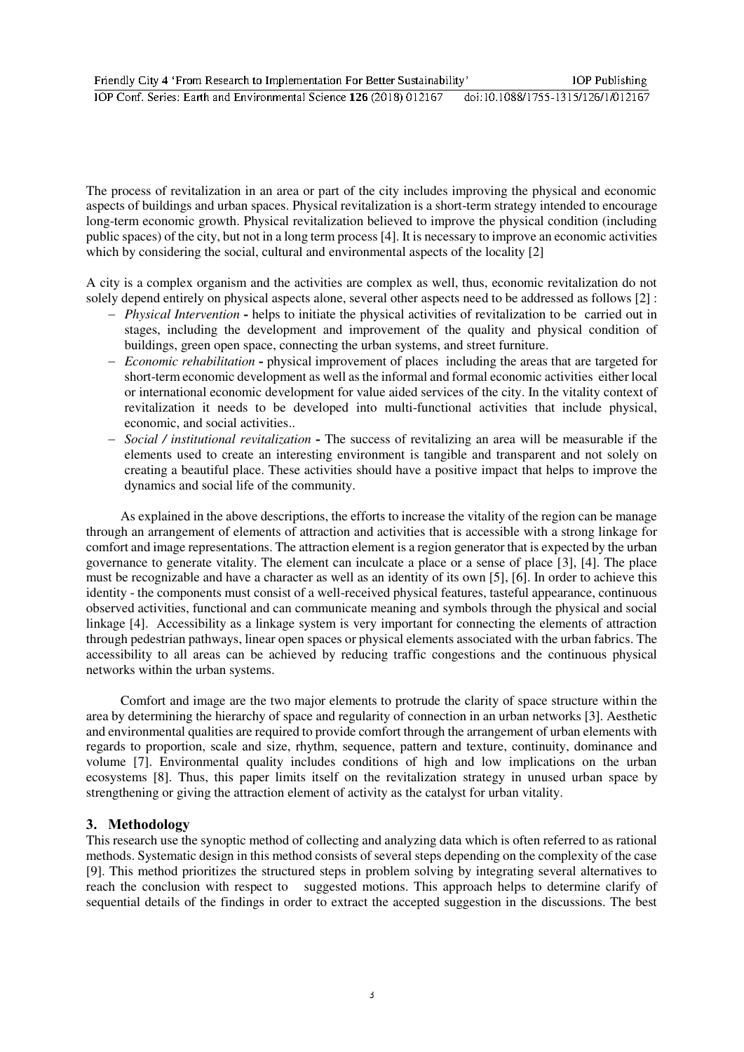The process of revitalization in an area or part of the city includes improving the physical and economic aspects of buildings and urban spaces. Physical revitalization is a short-term strategy intended to encourage long-term economic growth. Physical revitalization believed to improve the physical condition (including public spaces) of the city, but not in a long term process [4]. It is necessary to improve an economic activities which by considering the social, cultural and environmental aspects of the locality [2]

A city is a complex organism and the activities are complex as well, thus, economic revitalization do not solely depend entirely on physical aspects alone, several other aspects need to be addressed as follows [2] :

- *Physical Intervention*helps to initiate the physical activities of revitalization to be carried out in stages, including the development and improvement of the quality and physical condition of buildings, green open space, connecting the urban systems, and street furniture.
- *Economic rehabilitation* physical improvement of places including the areas that are targeted for short-term economic development as well as the informal and formal economic activities either local or international economic development for value aided services of the city. In the vitality context of revitalization it needs to be developed into multi-functional activities that include physical, economic, and social activities..
- *Social / institutional revitalization*The success of revitalizing an area will be measurable if the elements used to create an interesting environment is tangible and transparent and not solely on creating a beautiful place. These activities should have a positive impact that helps to improve the dynamics and social life of the community.

As explained in the above descriptions, the efforts to increase the vitality of the region can be manage through an arrangement of elements of attraction and activities that is accessible with a strong linkage for comfort and image representations. The attraction element is a region generator that is expected by the urban governance to generate vitality. The element can inculcate a place or a sense of place [3], [4]. The place must be recognizable and have a character as well as an identity of its own [5], [6]. In order to achieve this identity - the components must consist of a well-received physical features, tasteful appearance, continuous observed activities, functional and can communicate meaning and symbols through the physical and social linkage [4]. Accessibility as a linkage system is very important for connecting the elements of attraction through pedestrian pathways, linear open spaces or physical elements associated with the urban fabrics. The accessibility to all areas can be achieved by reducing traffic congestions and the continuous physical networks within the urban systems.

Comfort and image are the two major elements to protrude the clarity of space structure within the area by determining the hierarchy of space and regularity of connection in an urban networks [3]. Aesthetic and environmental qualities are required to provide comfort through the arrangement of urban elements with regards to proportion, scale and size, rhythm, sequence, pattern and texture, continuity, dominance and volume [7]. Environmental quality includes conditions of high and low implications on the urban ecosystems [8]. Thus, this paper limits itself on the revitalization strategy in unused urban space by strengthening or giving the attraction element of activity as the catalyst for urban vitality.

#### **3. Methodology**

This research use the synoptic method of collecting and analyzing data which is often referred to as rational methods. Systematic design in this method consists of several steps depending on the complexity of the case [9]. This method prioritizes the structured steps in problem solving by integrating several alternatives to reach the conclusion with respect to suggested motions. This approach helps to determine clarify of sequential details of the findings in order to extract the accepted suggestion in the discussions. The best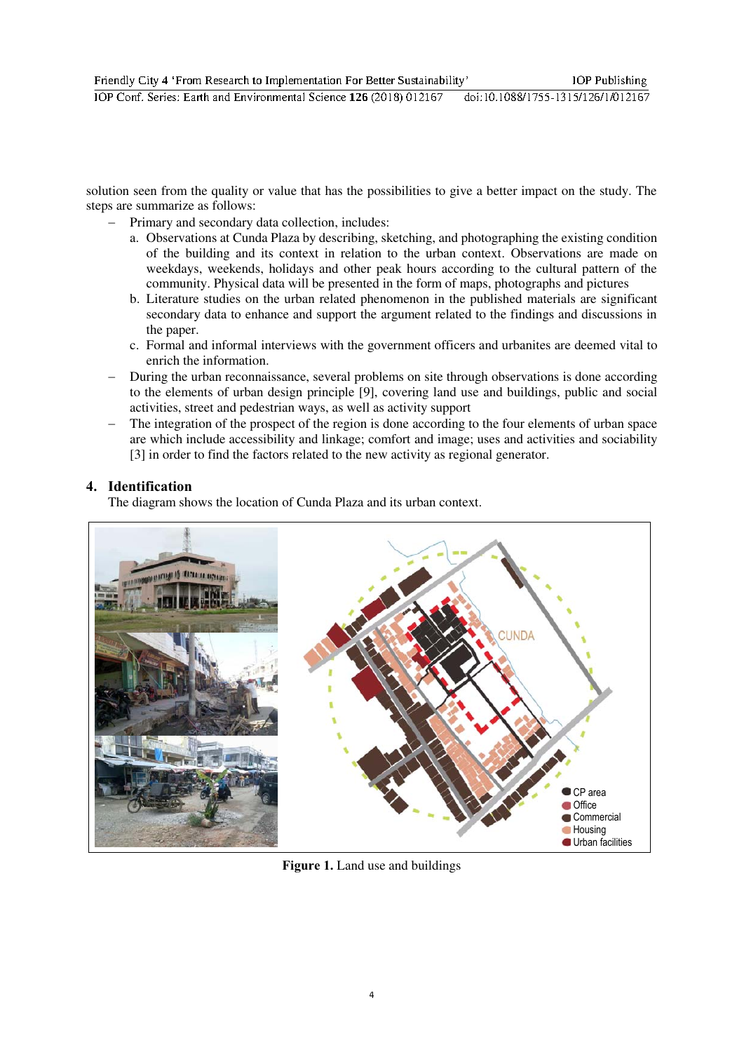solution seen from the quality or value that has the possibilities to give a better impact on the study. The steps are summarize as follows:

- - Primary and secondary data collection, includes:
	- a. Observations at Cunda Plaza by describing, sketching, and photographing the existing condition of the building and its context in relation to the urban context. Observations are made on weekdays, weekends, holidays and other peak hours according to the cultural pattern of the community. Physical data will be presented in the form of maps, photographs and pictures
	- b. Literature studies on the urban related phenomenon in the published materials are significant secondary data to enhance and support the argument related to the findings and discussions in the paper.
	- c. Formal and informal interviews with the government officers and urbanites are deemed vital to enrich the information.
- - During the urban reconnaissance, several problems on site through observations is done according to the elements of urban design principle [9], covering land use and buildings, public and social activities, street and pedestrian ways, as well as activity support
- - The integration of the prospect of the region is done according to the four elements of urban space are which include accessibility and linkage; comfort and image; uses and activities and sociability [3] in order to find the factors related to the new activity as regional generator.

# **4. Identification**

The diagram shows the location of Cunda Plaza and its urban context.



**Figure 1.** Land use and buildings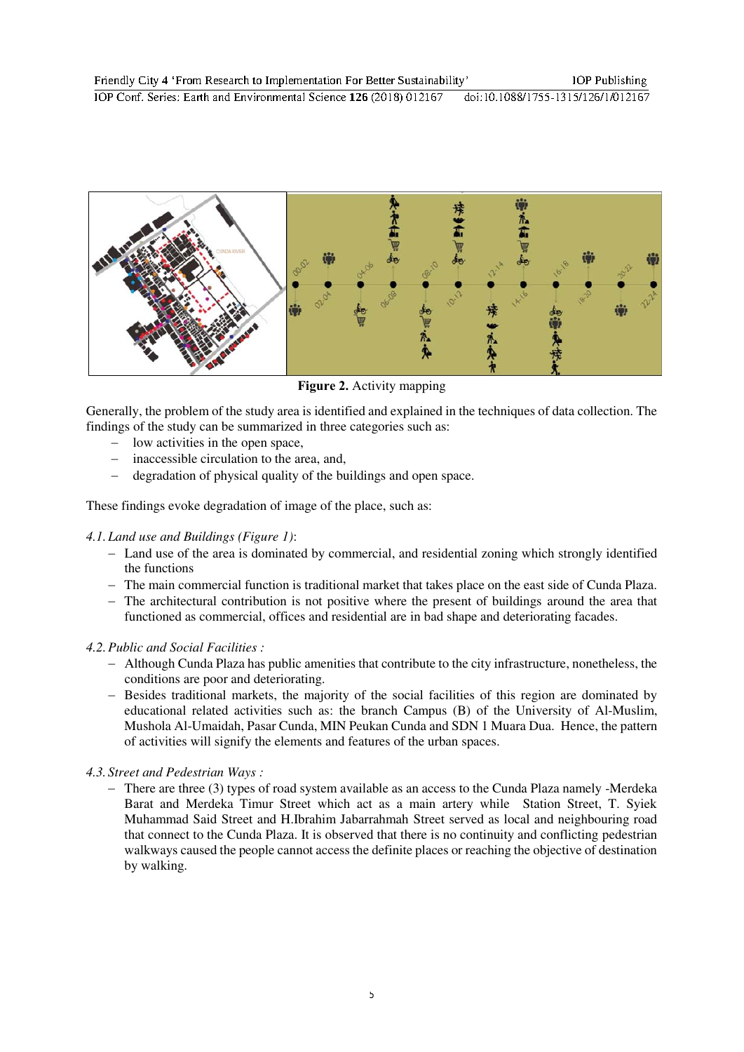

**Figure 2.** Activity mapping

Generally, the problem of the study area is identified and explained in the techniques of data collection. The findings of the study can be summarized in three categories such as:

- low activities in the open space,
- inaccessible circulation to the area, and,
- degradation of physical quality of the buildings and open space.

These findings evoke degradation of image of the place, such as:

#### *4.1.Land use and Buildings (Figure 1)*:

- Land use of the area is dominated by commercial, and residential zoning which strongly identified the functions
- The main commercial function is traditional market that takes place on the east side of Cunda Plaza.
- The architectural contribution is not positive where the present of buildings around the area that functioned as commercial, offices and residential are in bad shape and deteriorating facades.

#### *4.2.Public and Social Facilities :*

- Although Cunda Plaza has public amenities that contribute to the city infrastructure, nonetheless, the conditions are poor and deteriorating.
- Besides traditional markets, the majority of the social facilities of this region are dominated by educational related activities such as: the branch Campus (B) of the University of Al-Muslim, Mushola Al-Umaidah, Pasar Cunda, MIN Peukan Cunda and SDN 1 Muara Dua. Hence, the pattern of activities will signify the elements and features of the urban spaces.

#### *4.3. Street and Pedestrian Ways :*

- There are three (3) types of road system available as an access to the Cunda Plaza namely -Merdeka Barat and Merdeka Timur Street which act as a main artery while Station Street, T. Syiek Muhammad Said Street and H.Ibrahim Jabarrahmah Street served as local and neighbouring road that connect to the Cunda Plaza. It is observed that there is no continuity and conflicting pedestrian walkways caused the people cannot access the definite places or reaching the objective of destination by walking.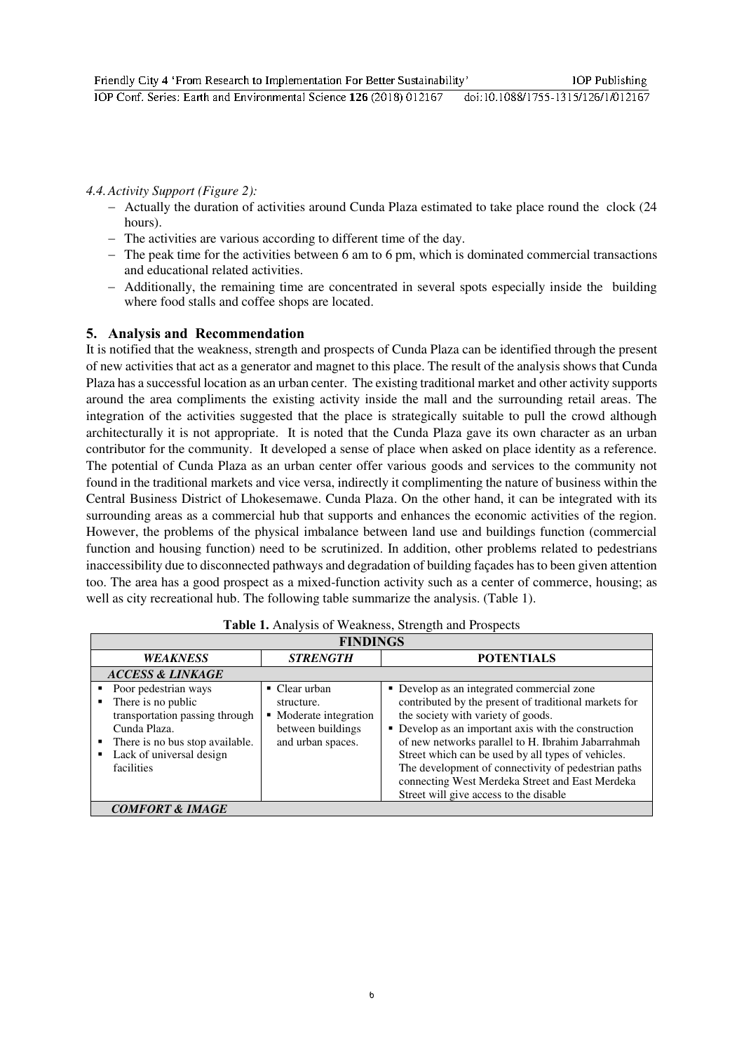IOP Conf. Series: Earth and Environmental Science **126** (2018) 012167 doi:10.1088/1755-1315/126/1/012167

*4.4.Activity Support (Figure 2):* 

- Actually the duration of activities around Cunda Plaza estimated to take place round the clock (24 hours).
- The activities are various according to different time of the day.
- The peak time for the activities between 6 am to 6 pm, which is dominated commercial transactions and educational related activities.
- Additionally, the remaining time are concentrated in several spots especially inside the building where food stalls and coffee shops are located.

# **5. Analysis and Recommendation**

It is notified that the weakness, strength and prospects of Cunda Plaza can be identified through the present of new activities that act as a generator and magnet to this place. The result of the analysis shows that Cunda Plaza has a successful location as an urban center. The existing traditional market and other activity supports around the area compliments the existing activity inside the mall and the surrounding retail areas. The integration of the activities suggested that the place is strategically suitable to pull the crowd although architecturally it is not appropriate. It is noted that the Cunda Plaza gave its own character as an urban contributor for the community. It developed a sense of place when asked on place identity as a reference. The potential of Cunda Plaza as an urban center offer various goods and services to the community not found in the traditional markets and vice versa, indirectly it complimenting the nature of business within the Central Business District of Lhokesemawe. Cunda Plaza. On the other hand, it can be integrated with its surrounding areas as a commercial hub that supports and enhances the economic activities of the region. However, the problems of the physical imbalance between land use and buildings function (commercial function and housing function) need to be scrutinized. In addition, other problems related to pedestrians inaccessibility due to disconnected pathways and degradation of building façades has to been given attention too. The area has a good prospect as a mixed-function activity such as a center of commerce, housing; as well as city recreational hub. The following table summarize the analysis. (Table 1).

| <b>FINDINGS</b>                                                                                                                                                             |                                                                                                            |                                                                                                                                                                                                                                                                                                                                                                                                                                                                   |  |
|-----------------------------------------------------------------------------------------------------------------------------------------------------------------------------|------------------------------------------------------------------------------------------------------------|-------------------------------------------------------------------------------------------------------------------------------------------------------------------------------------------------------------------------------------------------------------------------------------------------------------------------------------------------------------------------------------------------------------------------------------------------------------------|--|
| <b>WEAKNESS</b>                                                                                                                                                             | <b>STRENGTH</b>                                                                                            | <b>POTENTIALS</b>                                                                                                                                                                                                                                                                                                                                                                                                                                                 |  |
| <b>ACCESS &amp; LINKAGE</b>                                                                                                                                                 |                                                                                                            |                                                                                                                                                                                                                                                                                                                                                                                                                                                                   |  |
| • Poor pedestrian ways<br>There is no public<br>transportation passing through<br>Cunda Plaza.<br>There is no bus stop available.<br>Lack of universal design<br>facilities | $\blacksquare$ Clear urban<br>structure.<br>Moderate integration<br>between buildings<br>and urban spaces. | • Develop as an integrated commercial zone<br>contributed by the present of traditional markets for<br>the society with variety of goods.<br>• Develop as an important axis with the construction<br>of new networks parallel to H. Ibrahim Jabarrahmah<br>Street which can be used by all types of vehicles.<br>The development of connectivity of pedestrian paths<br>connecting West Merdeka Street and East Merdeka<br>Street will give access to the disable |  |
| <b>COMFORT &amp; IMAGE</b>                                                                                                                                                  |                                                                                                            |                                                                                                                                                                                                                                                                                                                                                                                                                                                                   |  |

**Table 1.** Analysis of Weakness, Strength and Prospects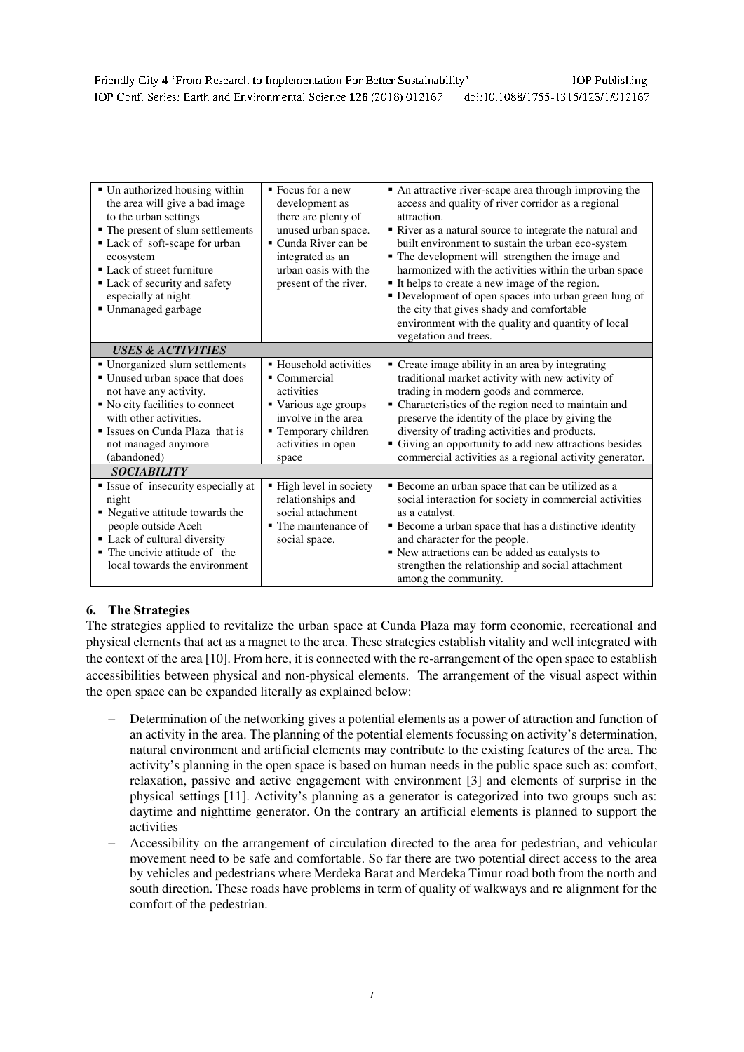IOP Conf. Series: Earth and Environmental Science **126** (2018) 012167 doi:10.1088/1755-1315/126/1/012167

| • Un authorized housing within<br>the area will give a bad image<br>to the urban settings<br>• The present of slum settlements<br>• Lack of soft-scape for urban<br>ecosystem<br>• Lack of street furniture<br>• Lack of security and safety<br>especially at night<br>• Unmanaged garbage | $\blacksquare$ Focus for a new<br>development as<br>there are plenty of<br>unused urban space.<br>• Cunda River can be<br>integrated as an<br>urban oasis with the<br>present of the river. | • An attractive river-scape area through improving the<br>access and quality of river corridor as a regional<br>attraction.<br>River as a natural source to integrate the natural and<br>built environment to sustain the urban eco-system<br>• The development will strengthen the image and<br>harmonized with the activities within the urban space<br>It helps to create a new image of the region.<br>• Development of open spaces into urban green lung of<br>the city that gives shady and comfortable<br>environment with the quality and quantity of local<br>vegetation and trees. |
|--------------------------------------------------------------------------------------------------------------------------------------------------------------------------------------------------------------------------------------------------------------------------------------------|---------------------------------------------------------------------------------------------------------------------------------------------------------------------------------------------|----------------------------------------------------------------------------------------------------------------------------------------------------------------------------------------------------------------------------------------------------------------------------------------------------------------------------------------------------------------------------------------------------------------------------------------------------------------------------------------------------------------------------------------------------------------------------------------------|
| <b>USES &amp; ACTIVITIES</b>                                                                                                                                                                                                                                                               |                                                                                                                                                                                             |                                                                                                                                                                                                                                                                                                                                                                                                                                                                                                                                                                                              |
| • Unorganized slum settlements<br>• Unused urban space that does<br>not have any activity.<br>No city facilities to connect<br>with other activities.<br>• Issues on Cunda Plaza that is<br>not managed anymore<br>(abandoned)                                                             | • Household activities<br>$\blacksquare$ Commercial<br>activities<br>• Various age groups<br>involve in the area<br>■ Temporary children<br>activities in open<br>space                     | • Create image ability in an area by integrating<br>traditional market activity with new activity of<br>trading in modern goods and commerce.<br>• Characteristics of the region need to maintain and<br>preserve the identity of the place by giving the<br>diversity of trading activities and products.<br>• Giving an opportunity to add new attractions besides<br>commercial activities as a regional activity generator.                                                                                                                                                              |
| <b>SOCIABILITY</b>                                                                                                                                                                                                                                                                         |                                                                                                                                                                                             |                                                                                                                                                                                                                                                                                                                                                                                                                                                                                                                                                                                              |
| • Issue of insecurity especially at<br>night<br>• Negative attitude towards the<br>people outside Aceh<br>• Lack of cultural diversity<br>• The uncivic attitude of the<br>local towards the environment                                                                                   | - High level in society<br>relationships and<br>social attachment<br>• The maintenance of<br>social space.                                                                                  | • Become an urban space that can be utilized as a<br>social interaction for society in commercial activities<br>as a catalyst.<br>• Become a urban space that has a distinctive identity<br>and character for the people.<br>Rew attractions can be added as catalysts to<br>strengthen the relationship and social attachment<br>among the community.                                                                                                                                                                                                                                       |

# **6. The Strategies**

The strategies applied to revitalize the urban space at Cunda Plaza may form economic, recreational and physical elements that act as a magnet to the area. These strategies establish vitality and well integrated with the context of the area [10]. From here, it is connected with the re-arrangement of the open space to establish accessibilities between physical and non-physical elements. The arrangement of the visual aspect within the open space can be expanded literally as explained below:

- - Determination of the networking gives a potential elements as a power of attraction and function of an activity in the area. The planning of the potential elements focussing on activity's determination, natural environment and artificial elements may contribute to the existing features of the area. The activity's planning in the open space is based on human needs in the public space such as: comfort, relaxation, passive and active engagement with environment [3] and elements of surprise in the physical settings [11]. Activity's planning as a generator is categorized into two groups such as: daytime and nighttime generator. On the contrary an artificial elements is planned to support the activities
- - Accessibility on the arrangement of circulation directed to the area for pedestrian, and vehicular movement need to be safe and comfortable. So far there are two potential direct access to the area by vehicles and pedestrians where Merdeka Barat and Merdeka Timur road both from the north and south direction. These roads have problems in term of quality of walkways and re alignment for the comfort of the pedestrian.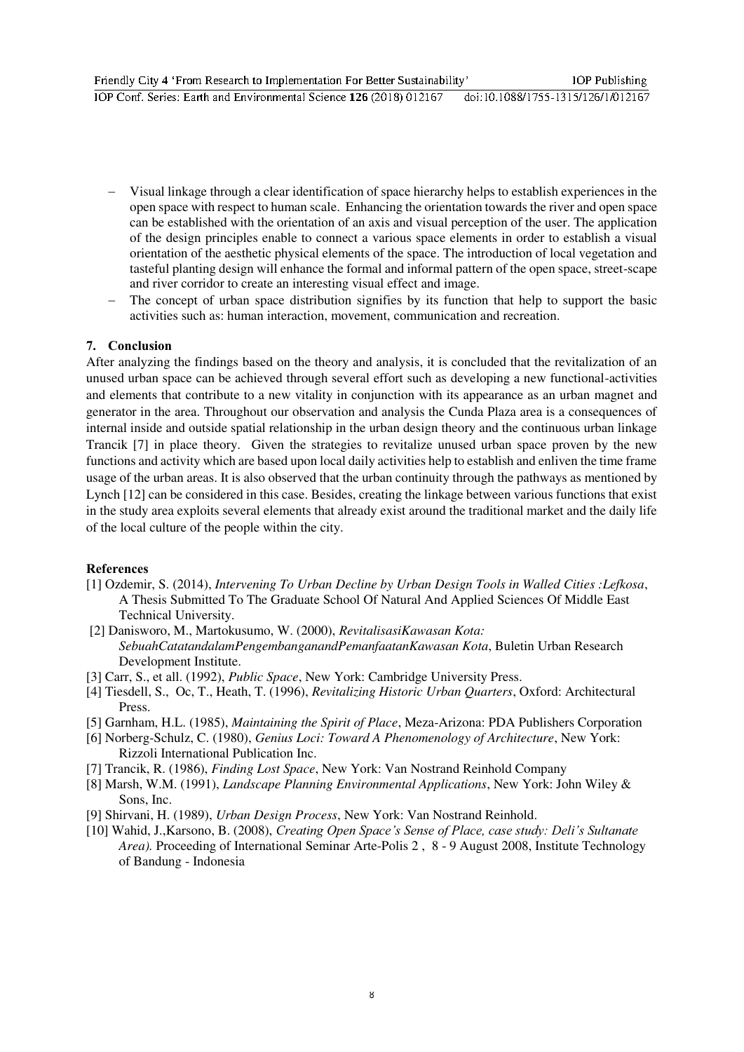- Visual linkage through a clear identification of space hierarchy helps to establish experiences in the open space with respect to human scale. Enhancing the orientation towards the river and open space can be established with the orientation of an axis and visual perception of the user. The application of the design principles enable to connect a various space elements in order to establish a visual orientation of the aesthetic physical elements of the space. The introduction of local vegetation and tasteful planting design will enhance the formal and informal pattern of the open space, street-scape and river corridor to create an interesting visual effect and image.
- - The concept of urban space distribution signifies by its function that help to support the basic activities such as: human interaction, movement, communication and recreation.

#### **7. Conclusion**

After analyzing the findings based on the theory and analysis, it is concluded that the revitalization of an unused urban space can be achieved through several effort such as developing a new functional-activities and elements that contribute to a new vitality in conjunction with its appearance as an urban magnet and generator in the area. Throughout our observation and analysis the Cunda Plaza area is a consequences of internal inside and outside spatial relationship in the urban design theory and the continuous urban linkage Trancik [7] in place theory. Given the strategies to revitalize unused urban space proven by the new functions and activity which are based upon local daily activities help to establish and enliven the time frame usage of the urban areas. It is also observed that the urban continuity through the pathways as mentioned by Lynch [12] can be considered in this case. Besides, creating the linkage between various functions that exist in the study area exploits several elements that already exist around the traditional market and the daily life of the local culture of the people within the city.

#### **References**

- [1] Ozdemir, S. (2014), *Intervening To Urban Decline by Urban Design Tools in Walled Cities :Lefkosa*, A Thesis Submitted To The Graduate School Of Natural And Applied Sciences Of Middle East Technical University.
- [2] Danisworo, M., Martokusumo, W. (2000), *RevitalisasiKawasan Kota: SebuahCatatandalamPengembanganandPemanfaatanKawasan Kota*, Buletin Urban Research Development Institute.
- [3] Carr, S., et all. (1992), *Public Space*, New York: Cambridge University Press.
- [4] Tiesdell, S., Oc, T., Heath, T. (1996), *Revitalizing Historic Urban Quarters*, Oxford: Architectural Press.
- [5] Garnham, H.L. (1985), *Maintaining the Spirit of Place*, Meza-Arizona: PDA Publishers Corporation
- [6] Norberg-Schulz, C. (1980), *Genius Loci: Toward A Phenomenology of Architecture*, New York: Rizzoli International Publication Inc.
- [7] Trancik, R. (1986), *Finding Lost Space*, New York: Van Nostrand Reinhold Company
- [8] Marsh, W.M. (1991), *Landscape Planning Environmental Applications*, New York: John Wiley & Sons, Inc.
- [9] Shirvani, H. (1989), *Urban Design Process*, New York: Van Nostrand Reinhold.
- [10] Wahid, J.,Karsono, B. (2008), *Creating Open Space's Sense of Place, case study: Deli's Sultanate Area).* Proceeding of International Seminar Arte-Polis 2 , 8 - 9 August 2008, Institute Technology of Bandung - Indonesia